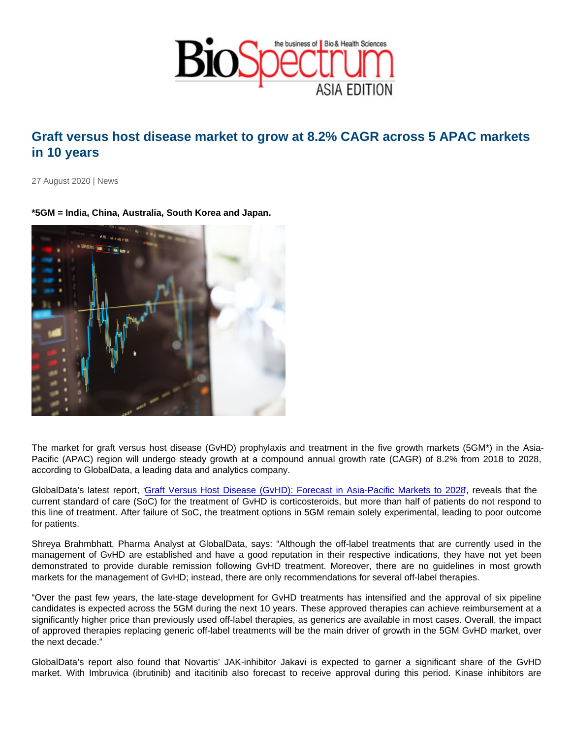## Graft versus host disease market to grow at 8.2% CAGR across 5 APAC markets in 10 years

27 August 2020 | News

\*5GM = India, China, Australia, South Korea and Japan.

The market for graft versus host disease (GvHD) prophylaxis and treatment in the five growth markets (5GM\*) in the Asia-Pacific (APAC) region will undergo steady growth at a compound annual growth rate (CAGR) of 8.2% from 2018 to 2028, according to GlobalData, a leading data and analytics company.

GlobalData's latest report, ['Graft Versus Host Disease \(GvHD\): Forecast in Asia-Pacific Markets to 2028'](https://u7061146.ct.sendgrid.net/ls/click?upn=4tNED-2FM8iDZJQyQ53jATURorIaK8X9SYLnzrEffc7kwrhEZrg2CgF-2FCzFo2DIwgiX07Y2J8bGzpgafQkNNs4cXQb6Vo7ScRH-2FiTqzp1cRwuKzjY7UW6Vjx-2FJDGVMFLc1PnyVc3wmySeRsnANX6RJJeCV5SlDGlAGxds1uefK8q4-3DVRFr_EKxIS-2FJYBcBm15wfBPH4o3L2pzJOx3oBS53DEmNu86CiwPW0iIjVNoNtr0DHtuHIt3UZwaB-2BDpCVvbrBtA04hCBWrIJgVMJDK3uL1nRCuaba3o0UdEBCOoK5IrlZ85fSpj-2FT-2BJj-2BOtC8vK0ebAlxeGSue22EzT84bmEfkxJDzP8922qVCImufxFbUIob9kzlfAJvwPF2F1m5tE237OrOh7ALr5HMJ8BUPfUeiXS4GpbZcSN3v-2B7ls0ElPvBV5oKqZfBKlmjDEYmATj65rTJFUkOF8OIsiSXoq0NSEM0-2FrSCyUCr4ip6W4CWK4FiPnZUsLqjAyjWvZ5bu2-2F4paAFJFTlCSfJIpa-2FsNiLtMyCkmAM-3D), reveals that the current standard of care (SoC) for the treatment of GvHD is corticosteroids, but more than half of patients do not respond to this line of treatment. After failure of SoC, the treatment options in 5GM remain solely experimental, leading to poor outcome for patients.

Shreya Brahmbhatt, Pharma Analyst at GlobalData, says: "Although the off-label treatments that are currently used in the management of GvHD are established and have a good reputation in their respective indications, they have not yet been demonstrated to provide durable remission following GvHD treatment. Moreover, there are no guidelines in most growth markets for the management of GvHD; instead, there are only recommendations for several off-label therapies.

"Over the past few years, the late-stage development for GvHD treatments has intensified and the approval of six pipeline candidates is expected across the 5GM during the next 10 years. These approved therapies can achieve reimbursement at a significantly higher price than previously used off-label therapies, as generics are available in most cases. Overall, the impact of approved therapies replacing generic off-label treatments will be the main driver of growth in the 5GM GvHD market, over the next decade."

GlobalData's report also found that Novartis' JAK-inhibitor Jakavi is expected to garner a significant share of the GvHD market. With Imbruvica (ibrutinib) and itacitinib also forecast to receive approval during this period. Kinase inhibitors are